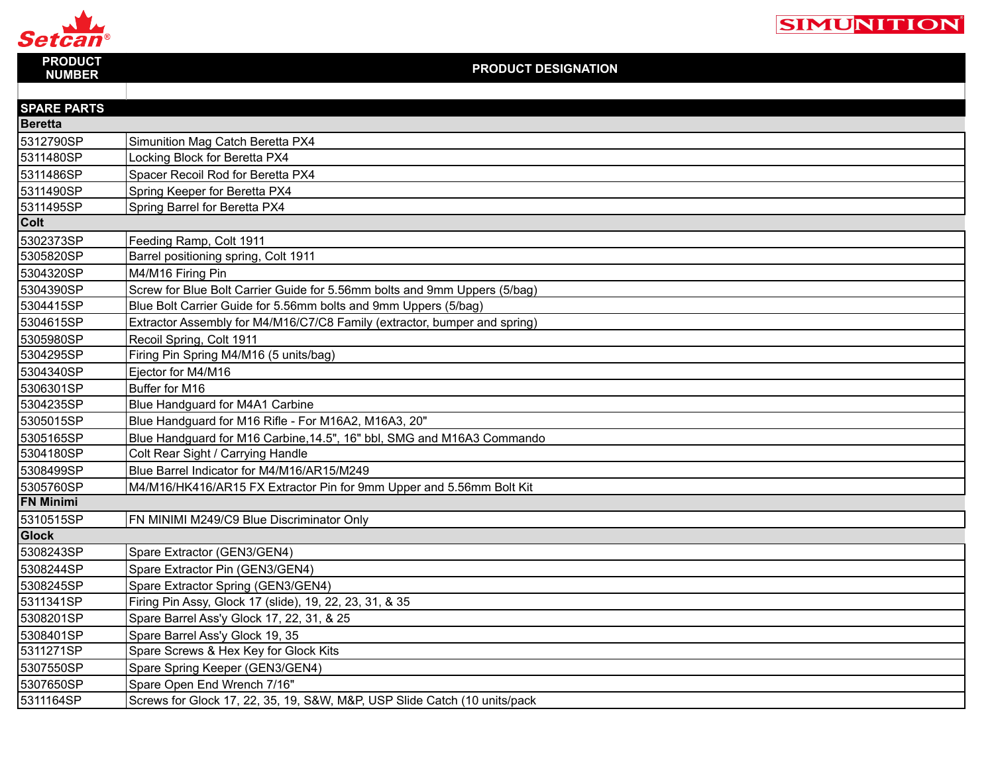

| <b>PRODUCT</b><br><b>NUMBER</b> | <b>PRODUCT DESIGNATION</b>                                                |
|---------------------------------|---------------------------------------------------------------------------|
|                                 |                                                                           |
| <b>SPARE PARTS</b>              |                                                                           |
| <b>Beretta</b>                  |                                                                           |
| 5312790SP                       | Simunition Mag Catch Beretta PX4                                          |
| 5311480SP                       | Locking Block for Beretta PX4                                             |
| 5311486SP                       | Spacer Recoil Rod for Beretta PX4                                         |
| 5311490SP                       | Spring Keeper for Beretta PX4                                             |
| 5311495SP                       | Spring Barrel for Beretta PX4                                             |
| Colt                            |                                                                           |
| 5302373SP                       | Feeding Ramp, Colt 1911                                                   |
| 5305820SP                       | Barrel positioning spring, Colt 1911                                      |
| 5304320SP                       | M4/M16 Firing Pin                                                         |
| 5304390SP                       | Screw for Blue Bolt Carrier Guide for 5.56mm bolts and 9mm Uppers (5/bag) |
| 5304415SP                       | Blue Bolt Carrier Guide for 5.56mm bolts and 9mm Uppers (5/bag)           |
| 5304615SP                       | Extractor Assembly for M4/M16/C7/C8 Family (extractor, bumper and spring) |
| 5305980SP                       | Recoil Spring, Colt 1911                                                  |
| 5304295SP                       | Firing Pin Spring M4/M16 (5 units/bag)                                    |
| 5304340SP                       | Ejector for M4/M16                                                        |
| 5306301SP                       | Buffer for M16                                                            |
| 5304235SP                       | Blue Handguard for M4A1 Carbine                                           |
| 5305015SP                       | Blue Handguard for M16 Rifle - For M16A2, M16A3, 20"                      |
| 5305165SP                       | Blue Handguard for M16 Carbine, 14.5", 16" bbl, SMG and M16A3 Commando    |
| 5304180SP                       | Colt Rear Sight / Carrying Handle                                         |
| 5308499SP                       | Blue Barrel Indicator for M4/M16/AR15/M249                                |
| 5305760SP                       | M4/M16/HK416/AR15 FX Extractor Pin for 9mm Upper and 5.56mm Bolt Kit      |
| <b>FN Minimi</b>                |                                                                           |
| 5310515SP                       | FN MINIMI M249/C9 Blue Discriminator Only                                 |
| <b>Glock</b>                    |                                                                           |
| 5308243SP                       | Spare Extractor (GEN3/GEN4)                                               |
| 5308244SP                       | Spare Extractor Pin (GEN3/GEN4)                                           |
| 5308245SP                       | Spare Extractor Spring (GEN3/GEN4)                                        |
| 5311341SP                       | Firing Pin Assy, Glock 17 (slide), 19, 22, 23, 31, & 35                   |
| 5308201SP                       | Spare Barrel Ass'y Glock 17, 22, 31, & 25                                 |
| 5308401SP                       | Spare Barrel Ass'y Glock 19, 35                                           |
| 5311271SP                       | Spare Screws & Hex Key for Glock Kits                                     |
| 5307550SP                       | Spare Spring Keeper (GEN3/GEN4)                                           |
| 5307650SP                       | Spare Open End Wrench 7/16"                                               |
| 5311164SP                       | Screws for Glock 17, 22, 35, 19, S&W, M&P, USP Slide Catch (10 units/pack |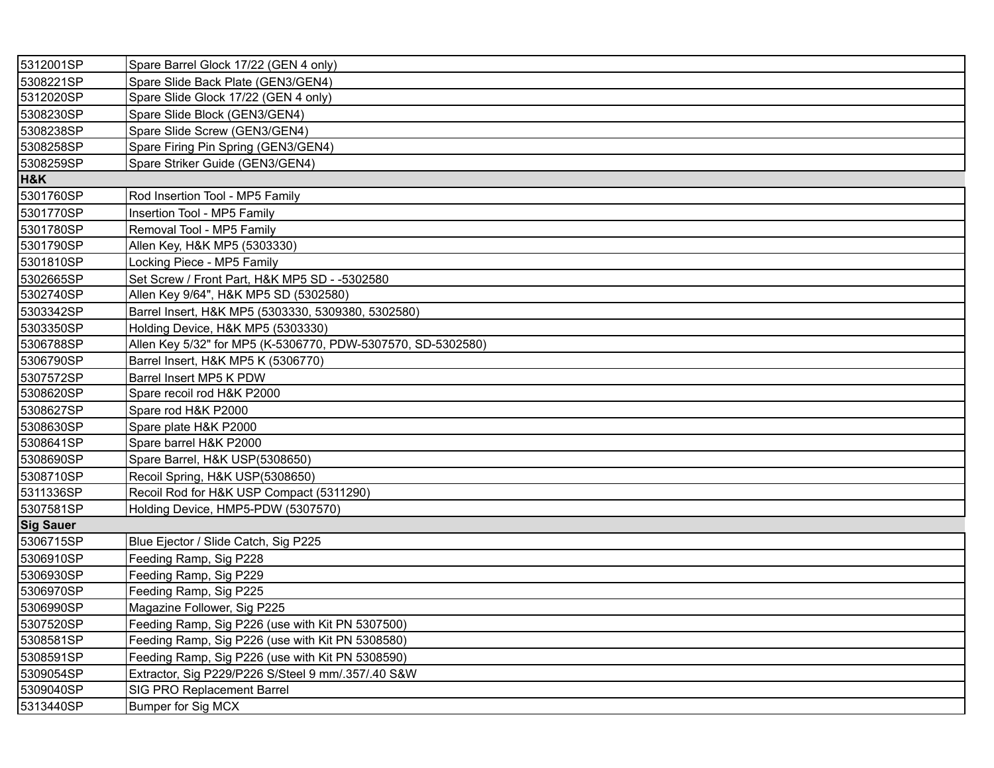| 5312001SP        | Spare Barrel Glock 17/22 (GEN 4 only)                        |
|------------------|--------------------------------------------------------------|
| 5308221SP        | Spare Slide Back Plate (GEN3/GEN4)                           |
| 5312020SP        | Spare Slide Glock 17/22 (GEN 4 only)                         |
| 5308230SP        | Spare Slide Block (GEN3/GEN4)                                |
| 5308238SP        | Spare Slide Screw (GEN3/GEN4)                                |
| 5308258SP        | Spare Firing Pin Spring (GEN3/GEN4)                          |
| 5308259SP        | Spare Striker Guide (GEN3/GEN4)                              |
| H&K              |                                                              |
| 5301760SP        | Rod Insertion Tool - MP5 Family                              |
| 5301770SP        | Insertion Tool - MP5 Family                                  |
| 5301780SP        | Removal Tool - MP5 Family                                    |
| 5301790SP        | Allen Key, H&K MP5 (5303330)                                 |
| 5301810SP        | Locking Piece - MP5 Family                                   |
| 5302665SP        | Set Screw / Front Part, H&K MP5 SD - -5302580                |
| 5302740SP        | Allen Key 9/64", H&K MP5 SD (5302580)                        |
| 5303342SP        | Barrel Insert, H&K MP5 (5303330, 5309380, 5302580)           |
| 5303350SP        | Holding Device, H&K MP5 (5303330)                            |
| 5306788SP        | Allen Key 5/32" for MP5 (K-5306770, PDW-5307570, SD-5302580) |
| 5306790SP        | Barrel Insert, H&K MP5 K (5306770)                           |
| 5307572SP        | Barrel Insert MP5 K PDW                                      |
| 5308620SP        | Spare recoil rod H&K P2000                                   |
| 5308627SP        | Spare rod H&K P2000                                          |
| 5308630SP        | Spare plate H&K P2000                                        |
| 5308641SP        | Spare barrel H&K P2000                                       |
| 5308690SP        | Spare Barrel, H&K USP(5308650)                               |
| 5308710SP        | Recoil Spring, H&K USP(5308650)                              |
| 5311336SP        | Recoil Rod for H&K USP Compact (5311290)                     |
| 5307581SP        | Holding Device, HMP5-PDW (5307570)                           |
| <b>Sig Sauer</b> |                                                              |
| 5306715SP        | Blue Ejector / Slide Catch, Sig P225                         |
| 5306910SP        | Feeding Ramp, Sig P228                                       |
| 5306930SP        | Feeding Ramp, Sig P229                                       |
| 5306970SP        | Feeding Ramp, Sig P225                                       |
| 5306990SP        | Magazine Follower, Sig P225                                  |
| 5307520SP        | Feeding Ramp, Sig P226 (use with Kit PN 5307500)             |
| 5308581SP        | Feeding Ramp, Sig P226 (use with Kit PN 5308580)             |
| 5308591SP        | Feeding Ramp, Sig P226 (use with Kit PN 5308590)             |
| 5309054SP        | Extractor, Sig P229/P226 S/Steel 9 mm/.357/.40 S&W           |
| 5309040SP        | SIG PRO Replacement Barrel                                   |
| 5313440SP        | <b>Bumper for Sig MCX</b>                                    |